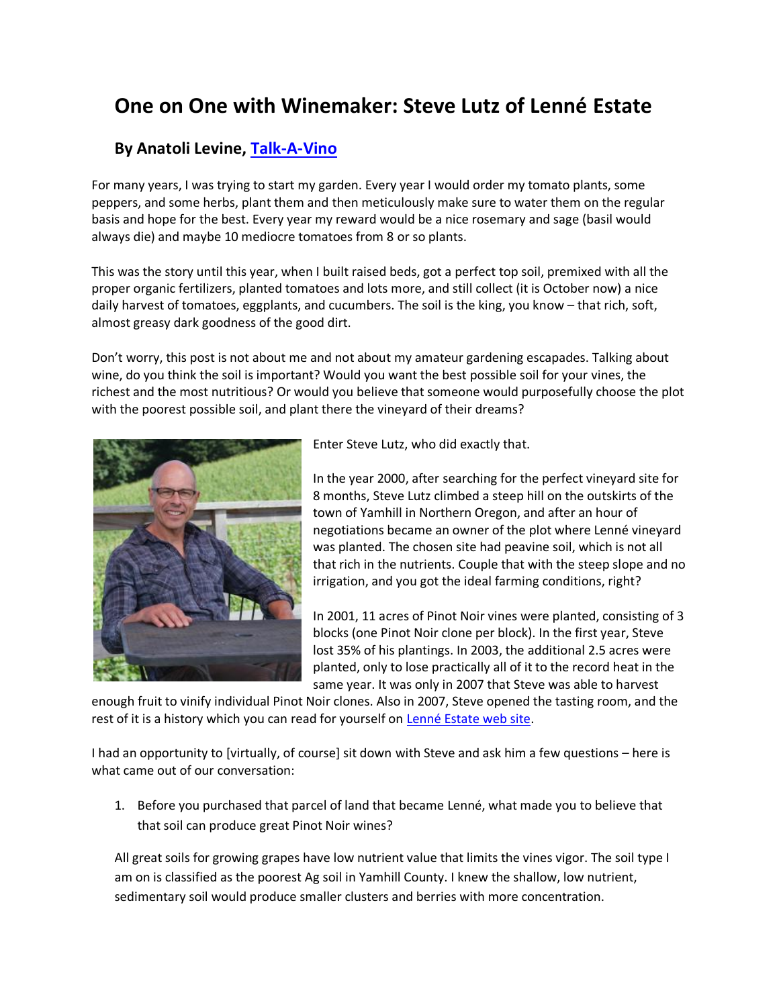## **One on One with Winemaker: Steve Lutz of Lenné Estate**

## **By Anatoli Levine, [Talk-A-Vino](https://talk-a-vino.com/2016/10/08/one-on-one-with-winemaker-steve-lutz-of-lenne-estate/)**

For many years, I was trying to start my garden. Every year I would order my tomato plants, some peppers, and some herbs, plant them and then meticulously make sure to water them on the regular basis and hope for the best. Every year my reward would be a nice rosemary and sage (basil would always die) and maybe 10 mediocre tomatoes from 8 or so plants.

This was the story until this year, when I built raised beds, got a perfect top soil, premixed with all the proper organic fertilizers, planted tomatoes and lots more, and still collect (it is October now) a nice daily harvest of tomatoes, eggplants, and cucumbers. The soil is the king, you know – that rich, soft, almost greasy dark goodness of the good dirt.

Don't worry, this post is not about me and not about my amateur gardening escapades. Talking about wine, do you think the soil is important? Would you want the best possible soil for your vines, the richest and the most nutritious? Or would you believe that someone would purposefully choose the plot with the poorest possible soil, and plant there the vineyard of their dreams?



Enter Steve Lutz, who did exactly that.

In the year 2000, after searching for the perfect vineyard site for 8 months, Steve Lutz climbed a steep hill on the outskirts of the town of Yamhill in Northern Oregon, and after an hour of negotiations became an owner of the plot where Lenné vineyard was planted. The chosen site had peavine soil, which is not all that rich in the nutrients. Couple that with the steep slope and no irrigation, and you got the ideal farming conditions, right?

In 2001, 11 acres of Pinot Noir vines were planted, consisting of 3 blocks (one Pinot Noir clone per block). In the first year, Steve lost 35% of his plantings. In 2003, the additional 2.5 acres were planted, only to lose practically all of it to the record heat in the same year. It was only in 2007 that Steve was able to harvest

enough fruit to vinify individual Pinot Noir clones. Also in 2007, Steve opened the tasting room, and the rest of it is a history which you can read for yourself on [Lenné Estate web site.](http://www.lenneestate.com/)

I had an opportunity to [virtually, of course] sit down with Steve and ask him a few questions – here is what came out of our conversation:

1. Before you purchased that parcel of land that became Lenné, what made you to believe that that soil can produce great Pinot Noir wines?

All great soils for growing grapes have low nutrient value that limits the vines vigor. The soil type I am on is classified as the poorest Ag soil in Yamhill County. I knew the shallow, low nutrient, sedimentary soil would produce smaller clusters and berries with more concentration.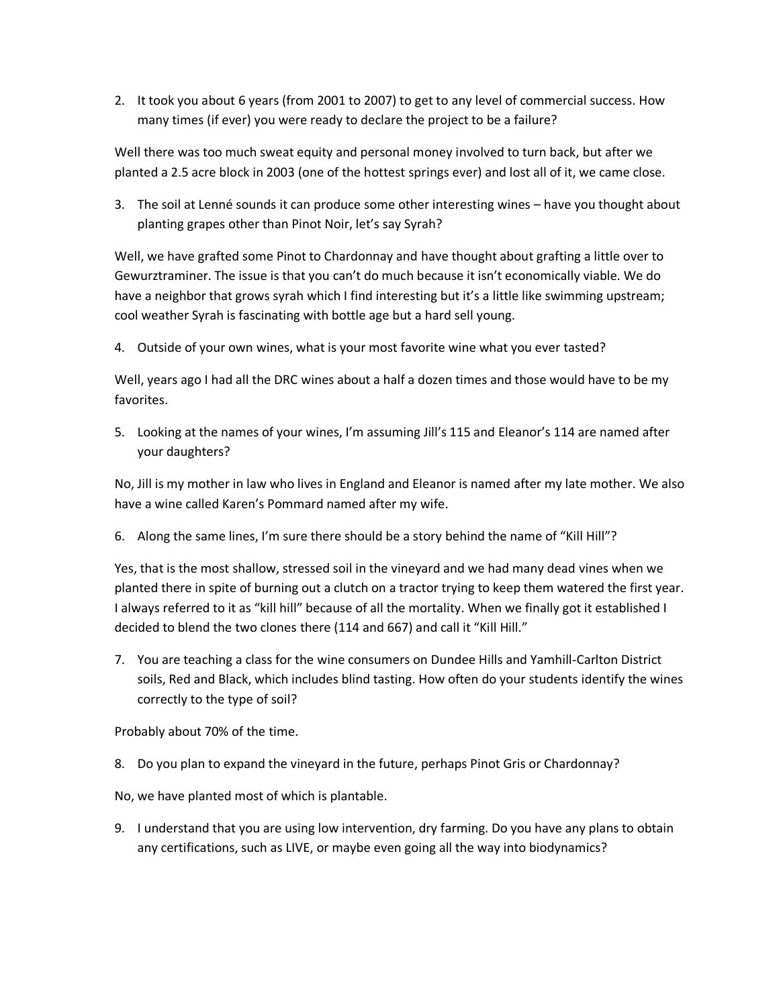2. It took you about 6 years (from 2001 to 2007) to get to any level of commercial success. How many times (if ever) you were ready to declare the project to be a failure?

Well there was too much sweat equity and personal money involved to turn back, but after we planted a 2.5 acre block in 2003 (one of the hottest springs ever) and lost all of it, we came close.

3. The soil at Lenné sounds it can produce some other interesting wines – have you thought about planting grapes other than Pinot Noir, let's say Syrah?

Well, we have grafted some Pinot to Chardonnay and have thought about grafting a little over to Gewurztraminer. The issue is that you can't do much because it isn't economically viable. We do have a neighbor that grows syrah which I find interesting but it's a little like swimming upstream; cool weather Syrah is fascinating with bottle age but a hard sell young.

4. Outside of your own wines, what is your most favorite wine what you ever tasted?

Well, years ago I had all the DRC wines about a half a dozen times and those would have to be my favorites.

5. Looking at the names of your wines, I'm assuming Jill's 115 and Eleanor's 114 are named after your daughters?

No, Jill is my mother in law who lives in England and Eleanor is named after my late mother. We also have a wine called Karen's Pommard named after my wife.

6. Along the same lines, I'm sure there should be a story behind the name of "Kill Hill"?

Yes, that is the most shallow, stressed soil in the vineyard and we had many dead vines when we planted there in spite of burning out a clutch on a tractor trying to keep them watered the first year. I always referred to it as "kill hill" because of all the mortality. When we finally got it established I decided to blend the two clones there (114 and 667) and call it "Kill Hill."

7. You are teaching a class for the wine consumers on Dundee Hills and Yamhill-Carlton District soils, Red and Black, which includes blind tasting. How often do your students identify the wines correctly to the type of soil?

Probably about 70% of the time.

8. Do you plan to expand the vineyard in the future, perhaps Pinot Gris or Chardonnay?

No, we have planted most of which is plantable.

9. I understand that you are using low intervention, dry farming. Do you have any plans to obtain any certifications, such as LIVE, or maybe even going all the way into biodynamics?